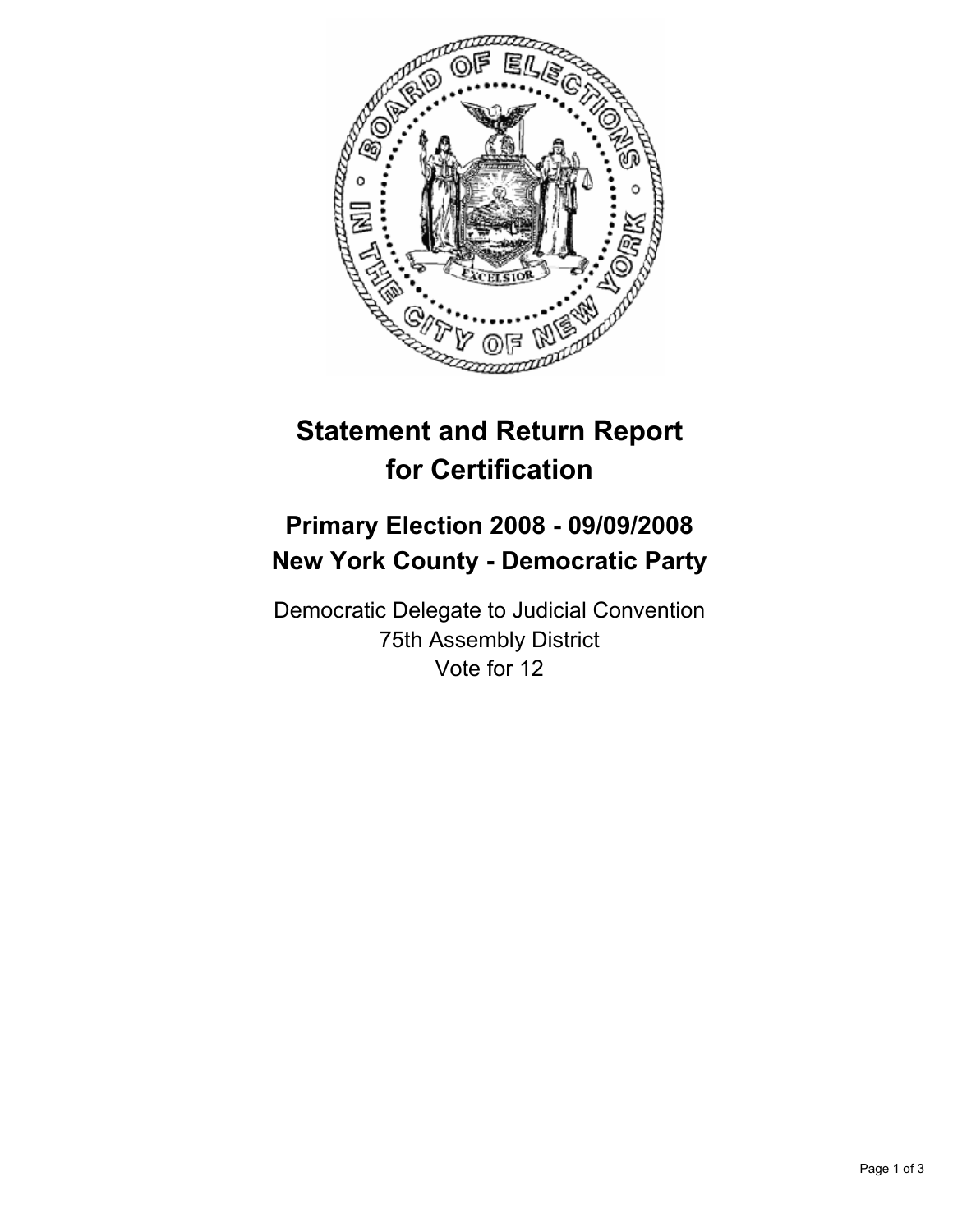

## **Statement and Return Report for Certification**

## **Primary Election 2008 - 09/09/2008 New York County - Democratic Party**

Democratic Delegate to Judicial Convention 75th Assembly District Vote for 12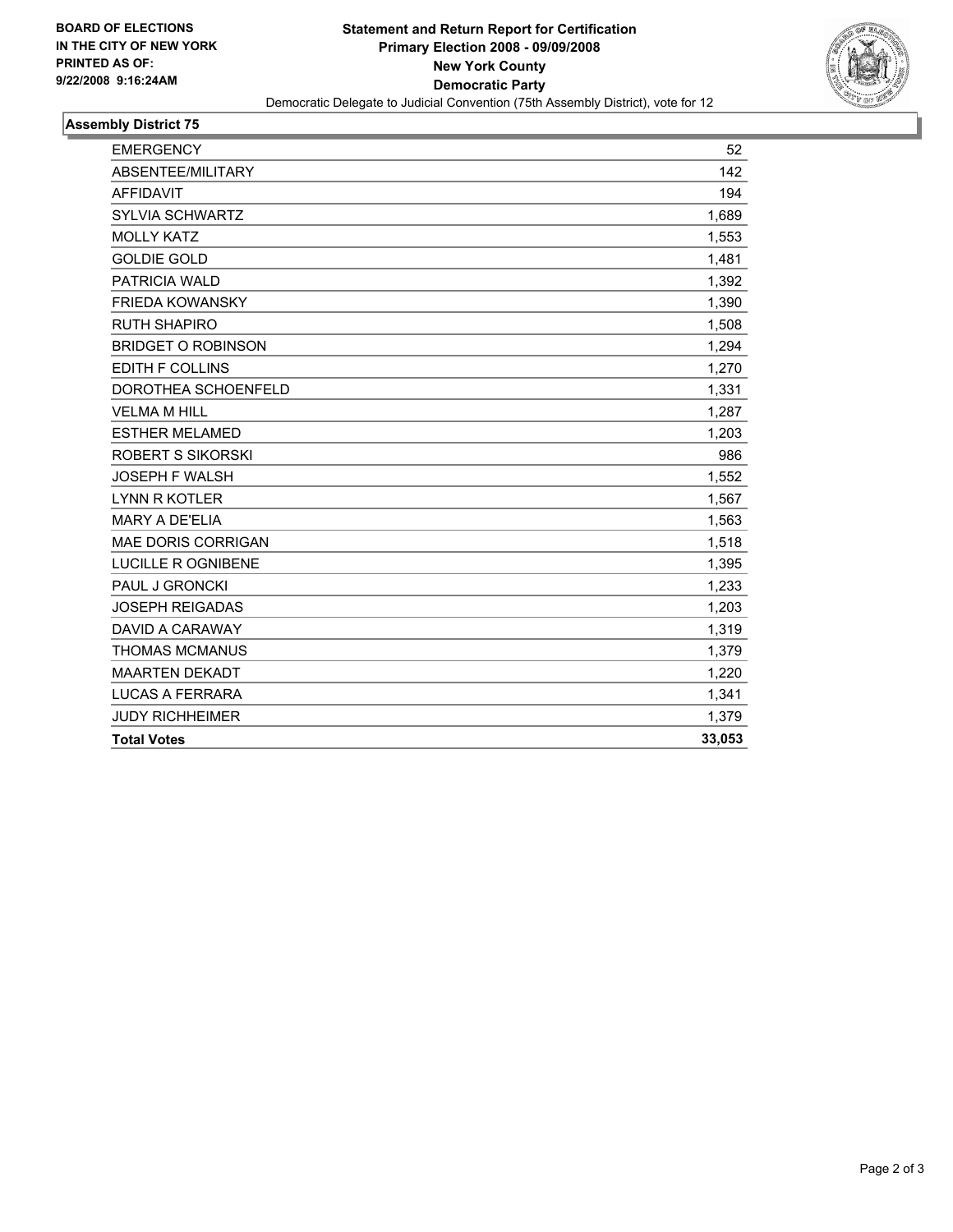

## **Assembly District 75**

| 142<br>194<br>1.689<br>1,553<br>1,481<br>1,392<br>1,390<br>1,508<br>1,294<br>1,270<br>1,331<br>1.287<br>1,203<br>986<br>1,552<br>1,567<br>1,563<br>1,518<br>1,395<br>1,233<br>1,203<br>1,319<br>1,379<br>1,220<br>1,341<br>1,379<br>33,053 | <b>EMERGENCY</b>          | 52 |
|--------------------------------------------------------------------------------------------------------------------------------------------------------------------------------------------------------------------------------------------|---------------------------|----|
|                                                                                                                                                                                                                                            | ABSENTEE/MILITARY         |    |
|                                                                                                                                                                                                                                            | <b>AFFIDAVIT</b>          |    |
|                                                                                                                                                                                                                                            | SYLVIA SCHWARTZ           |    |
|                                                                                                                                                                                                                                            | <b>MOLLY KATZ</b>         |    |
|                                                                                                                                                                                                                                            | <b>GOLDIE GOLD</b>        |    |
|                                                                                                                                                                                                                                            | <b>PATRICIA WALD</b>      |    |
|                                                                                                                                                                                                                                            | <b>FRIEDA KOWANSKY</b>    |    |
|                                                                                                                                                                                                                                            | <b>RUTH SHAPIRO</b>       |    |
|                                                                                                                                                                                                                                            | <b>BRIDGET O ROBINSON</b> |    |
|                                                                                                                                                                                                                                            | <b>EDITH F COLLINS</b>    |    |
|                                                                                                                                                                                                                                            | DOROTHEA SCHOENFELD       |    |
|                                                                                                                                                                                                                                            | <b>VELMA M HILL</b>       |    |
|                                                                                                                                                                                                                                            | <b>ESTHER MELAMED</b>     |    |
|                                                                                                                                                                                                                                            | <b>ROBERT S SIKORSKI</b>  |    |
|                                                                                                                                                                                                                                            | <b>JOSEPH F WALSH</b>     |    |
|                                                                                                                                                                                                                                            | <b>LYNN R KOTLER</b>      |    |
|                                                                                                                                                                                                                                            | <b>MARY A DE'ELIA</b>     |    |
|                                                                                                                                                                                                                                            | <b>MAE DORIS CORRIGAN</b> |    |
|                                                                                                                                                                                                                                            | LUCILLE R OGNIBENE        |    |
|                                                                                                                                                                                                                                            | PAUL J GRONCKI            |    |
|                                                                                                                                                                                                                                            | <b>JOSEPH REIGADAS</b>    |    |
|                                                                                                                                                                                                                                            | <b>DAVID A CARAWAY</b>    |    |
|                                                                                                                                                                                                                                            | <b>THOMAS MCMANUS</b>     |    |
|                                                                                                                                                                                                                                            | <b>MAARTEN DEKADT</b>     |    |
|                                                                                                                                                                                                                                            | <b>LUCAS A FERRARA</b>    |    |
|                                                                                                                                                                                                                                            | <b>JUDY RICHHEIMER</b>    |    |
|                                                                                                                                                                                                                                            | <b>Total Votes</b>        |    |